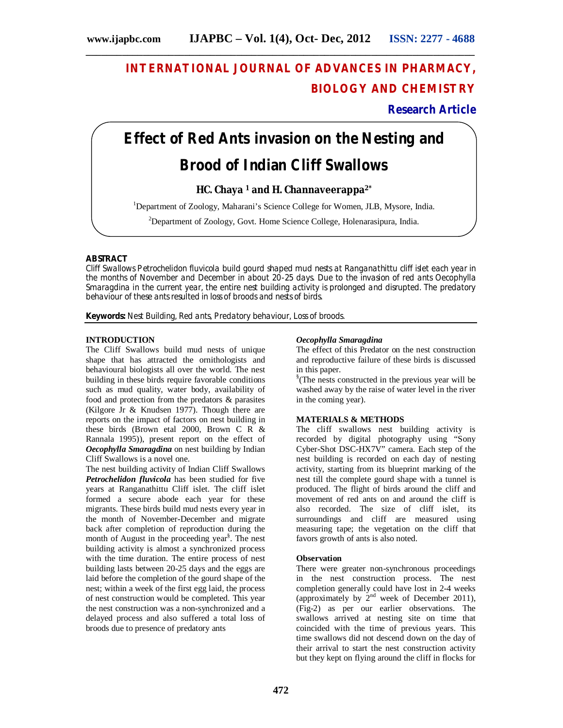# **INTERNATIONAL JOURNAL OF ADVANCES IN PHARMACY, BIOLOGY AND CHEMISTRY**

# **Research Article**

# **Effect of Red Ants invasion on the Nesting and Brood of Indian Cliff Swallows**

# **HC. Chaya <sup>1</sup> and H. Channaveerappa2\***

<sup>1</sup>Department of Zoology, Maharani's Science College for Women, JLB, Mysore, India.

<sup>2</sup>Department of Zoology, Govt. Home Science College, Holenarasipura, India.

#### **ABSTRACT**

Cliff Swallows *Petrochelidon fluvicola* build gourd shaped mud nests at Ranganathittu cliff islet each year in the months of November and December in about 20-25 days. Due to the invasion of red ants *Oecophylla Smaragdina* in the current year, the entire nest building activity is prolonged and disrupted. The predatory behaviour of these ants resulted in loss of broods and nests of birds.

**Keywords:** Nest Building, Red ants, Predatory behaviour, Loss of broods.

#### **INTRODUCTION**

The Cliff Swallows build mud nests of unique shape that has attracted the ornithologists and behavioural biologists all over the world. The nest building in these birds require favorable conditions such as mud quality, water body, availability of food and protection from the predators & parasites (Kilgore Jr & Knudsen 1977). Though there are reports on the impact of factors on nest building in these birds (Brown etal 2000, Brown C R & Rannala 1995)), present report on the effect of *Oecophylla Smaragdina* on nest building by Indian Cliff Swallows is a novel one.

The nest building activity of Indian Cliff Swallows *Petrochelidon fluvicola* has been studied for five years at Ranganathittu Cliff islet. The cliff islet formed a secure abode each year for these migrants. These birds build mud nests every year in the month of November-December and migrate back after completion of reproduction during the month of August in the proceeding year<sup>§</sup>. The nest building activity is almost a synchronized process with the time duration. The entire process of nest building lasts between 20-25 days and the eggs are laid before the completion of the gourd shape of the nest; within a week of the first egg laid, the process of nest construction would be completed. This year the nest construction was a non-synchronized and a delayed process and also suffered a total loss of broods due to presence of predatory ants

#### *Oecophylla Smaragdina*

The effect of this Predator on the nest construction and reproductive failure of these birds is discussed in this paper.

§ (The nests constructed in the previous year will be washed away by the raise of water level in the river in the coming year).

### **MATERIALS & METHODS**

The cliff swallows nest building activity is recorded by digital photography using "Sony Cyber-Shot DSC-HX7V" camera. Each step of the nest building is recorded on each day of nesting activity, starting from its blueprint marking of the nest till the complete gourd shape with a tunnel is produced. The flight of birds around the cliff and movement of red ants on and around the cliff is also recorded. The size of cliff islet, its surroundings and cliff are measured using measuring tape; the vegetation on the cliff that favors growth of ants is also noted.

#### **Observation**

There were greater non-synchronous proceedings in the nest construction process. The nest completion generally could have lost in 2-4 weeks (approximately by  $2<sup>nd</sup>$  week of December 2011), (Fig-2) as per our earlier observations. The swallows arrived at nesting site on time that coincided with the time of previous years. This time swallows did not descend down on the day of their arrival to start the nest construction activity but they kept on flying around the cliff in flocks for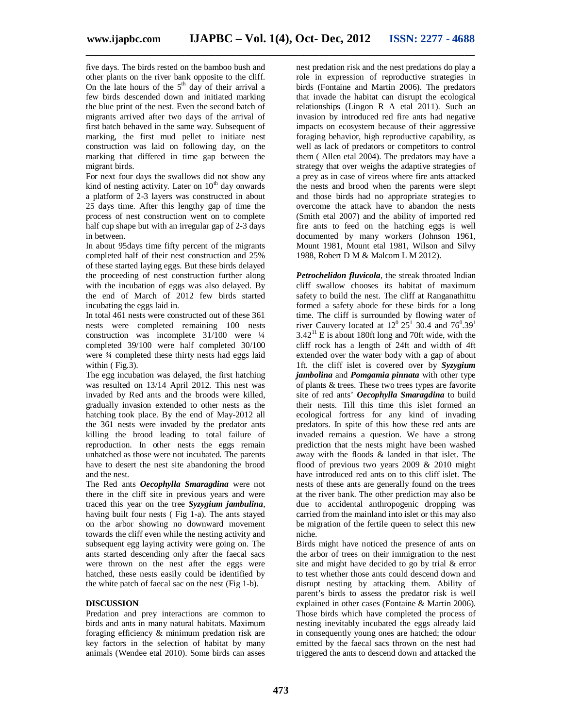**\_\_\_\_\_\_\_\_\_\_\_\_\_\_\_\_\_\_\_\_\_\_\_\_\_\_\_\_\_\_\_\_\_\_\_\_\_\_\_\_\_\_\_\_\_\_\_\_\_\_\_\_\_\_\_\_\_\_\_\_\_\_\_\_\_\_\_\_\_\_\_\_\_\_\_**

five days. The birds rested on the bamboo bush and other plants on the river bank opposite to the cliff. On the late hours of the  $5<sup>th</sup>$  day of their arrival a few birds descended down and initiated marking the blue print of the nest. Even the second batch of migrants arrived after two days of the arrival of first batch behaved in the same way. Subsequent of marking, the first mud pellet to initiate nest construction was laid on following day, on the marking that differed in time gap between the migrant birds.

For next four days the swallows did not show any kind of nesting activity. Later on  $10<sup>th</sup>$  day onwards a platform of 2-3 layers was constructed in about 25 days time. After this lengthy gap of time the process of nest construction went on to complete half cup shape but with an irregular gap of 2-3 days in between.

In about 95days time fifty percent of the migrants completed half of their nest construction and 25% of these started laying eggs. But these birds delayed the proceeding of nest construction further along with the incubation of eggs was also delayed. By the end of March of 2012 few birds started incubating the eggs laid in.

In total 461 nests were constructed out of these 361 nests were completed remaining 100 nests construction was incomplete 31/100 were ¼ completed 39/100 were half completed 30/100 were  $\frac{3}{4}$  completed these thirty nests had eggs laid within (Fig.3).

The egg incubation was delayed, the first hatching was resulted on 13/14 April 2012. This nest was invaded by Red ants and the broods were killed, gradually invasion extended to other nests as the hatching took place. By the end of May-2012 all the 361 nests were invaded by the predator ants killing the brood leading to total failure of reproduction. In other nests the eggs remain unhatched as those were not incubated. The parents have to desert the nest site abandoning the brood and the nest.

The Red ants *Oecophylla Smaragdina* were not there in the cliff site in previous years and were traced this year on the tree *Syzygium jambulina*, having built four nests ( Fig 1-a). The ants stayed on the arbor showing no downward movement towards the cliff even while the nesting activity and subsequent egg laying activity were going on. The ants started descending only after the faecal sacs were thrown on the nest after the eggs were hatched, these nests easily could be identified by the white patch of faecal sac on the nest (Fig 1-b).

## **DISCUSSION**

Predation and prey interactions are common to birds and ants in many natural habitats. Maximum foraging efficiency & minimum predation risk are key factors in the selection of habitat by many animals (Wendee etal 2010). Some birds can asses nest predation risk and the nest predations do play a role in expression of reproductive strategies in birds (Fontaine and Martin 2006). The predators that invade the habitat can disrupt the ecological relationships (Lingon R A etal 2011). Such an invasion by introduced red fire ants had negative impacts on ecosystem because of their aggressive foraging behavior, high reproductive capability, as well as lack of predators or competitors to control them ( Allen etal 2004). The predators may have a strategy that over weighs the adaptive strategies of a prey as in case of vireos where fire ants attacked the nests and brood when the parents were slept and those birds had no appropriate strategies to overcome the attack have to abandon the nests (Smith etal 2007) and the ability of imported red fire ants to feed on the hatching eggs is well documented by many workers (Johnson 1961, Mount 1981, Mount etal 1981, Wilson and Silvy 1988, Robert D M & Malcom L M 2012).

*Petrochelidon fluvicola*, the streak throated Indian cliff swallow chooses its habitat of maximum safety to build the nest. The cliff at Ranganathittu formed a safety abode for these birds for a long time. The cliff is surrounded by flowing water of river Cauvery located at  $12^{\circ} 25^{\circ} 30.4$  and  $76^{\circ} 39^{\circ}$  $3.42^{11}$  E is about 180ft long and 70ft wide, with the cliff rock has a length of 24ft and width of 4ft extended over the water body with a gap of about 1ft. the cliff islet is covered over by *Syzygium jambolina* and *Pomgamia pinnata* with other type of plants & trees. These two trees types are favorite site of red ants' *Oecophylla Smaragdina* to build their nests. Till this time this islet formed an ecological fortress for any kind of invading predators. In spite of this how these red ants are invaded remains a question. We have a strong prediction that the nests might have been washed away with the floods & landed in that islet. The flood of previous two years 2009 & 2010 might have introduced red ants on to this cliff islet. The nests of these ants are generally found on the trees at the river bank. The other prediction may also be due to accidental anthropogenic dropping was carried from the mainland into islet or this may also be migration of the fertile queen to select this new niche.

Birds might have noticed the presence of ants on the arbor of trees on their immigration to the nest site and might have decided to go by trial & error to test whether those ants could descend down and disrupt nesting by attacking them. Ability of parent's birds to assess the predator risk is well explained in other cases (Fontaine & Martin 2006). Those birds which have completed the process of nesting inevitably incubated the eggs already laid in consequently young ones are hatched; the odour emitted by the faecal sacs thrown on the nest had triggered the ants to descend down and attacked the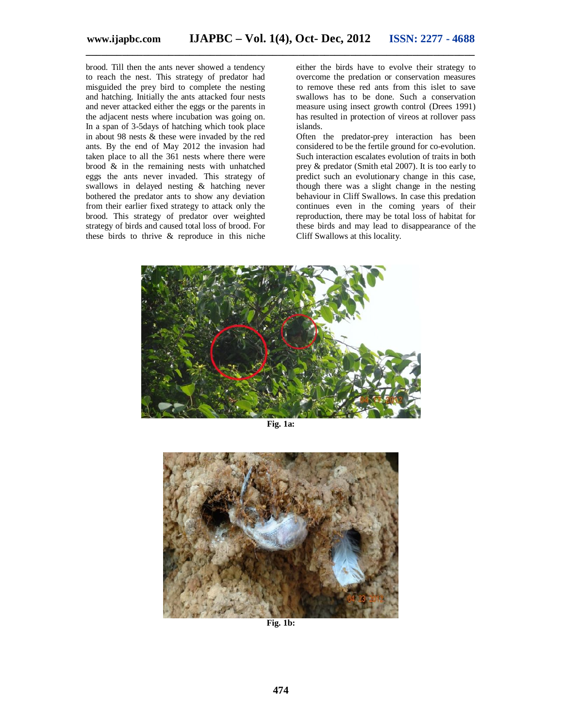brood. Till then the ants never showed a tendency to reach the nest. This strategy of predator had misguided the prey bird to complete the nesting and hatching. Initially the ants attacked four nests and never attacked either the eggs or the parents in the adjacent nests where incubation was going on. In a span of 3-5days of hatching which took place in about 98 nests & these were invaded by the red ants. By the end of May 2012 the invasion had taken place to all the 361 nests where there were brood  $\&$  in the remaining nests with unhatched eggs the ants never invaded. This strategy of swallows in delayed nesting & hatching never bothered the predator ants to show any deviation from their earlier fixed strategy to attack only the brood. This strategy of predator over weighted strategy of birds and caused total loss of brood. For these birds to thrive & reproduce in this niche

either the birds have to evolve their strategy to overcome the predation or conservation measures to remove these red ants from this islet to save swallows has to be done. Such a conservation measure using insect growth control (Drees 1991) has resulted in protection of vireos at rollover pass islands.

Often the predator-prey interaction has been considered to be the fertile ground for co-evolution. Such interaction escalates evolution of traits in both prey & predator (Smith etal 2007). It is too early to predict such an evolutionary change in this case, though there was a slight change in the nesting behaviour in Cliff Swallows. In case this predation continues even in the coming years of their reproduction, there may be total loss of habitat for these birds and may lead to disappearance of the Cliff Swallows at this locality.



**Fig. 1a:**



**Fig. 1b:**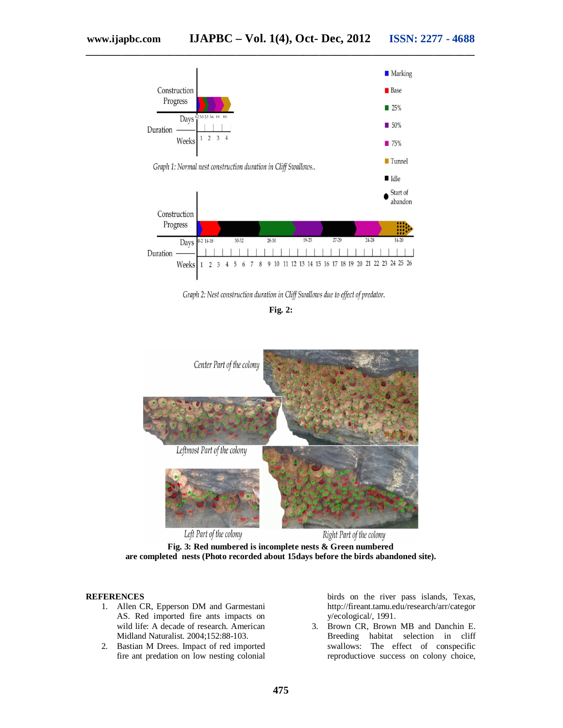

Graph 2: Nest construction duration in Cliff Swallows due to effect of predator.

**Fig. 2:**



**Fig. 3: Red numbered is incomplete nests & Green numbered are completed nests (Photo recorded about 15days before the birds abandoned site).**

#### **REFERENCES**

- 1. Allen CR, Epperson DM and Garmestani AS. Red imported fire ants impacts on wild life: A decade of research. American Midland Naturalist. 2004;152:88-103.
- 2. Bastian M Drees. Impact of red imported fire ant predation on low nesting colonial

birds on the river pass islands, Texas, http://fireant.tamu.edu/research/arr/categor y/ecological/, 1991.

3. Brown CR, Brown MB and Danchin E. Breeding habitat selection in cliff swallows: The effect of conspecific reproductiove success on colony choice,